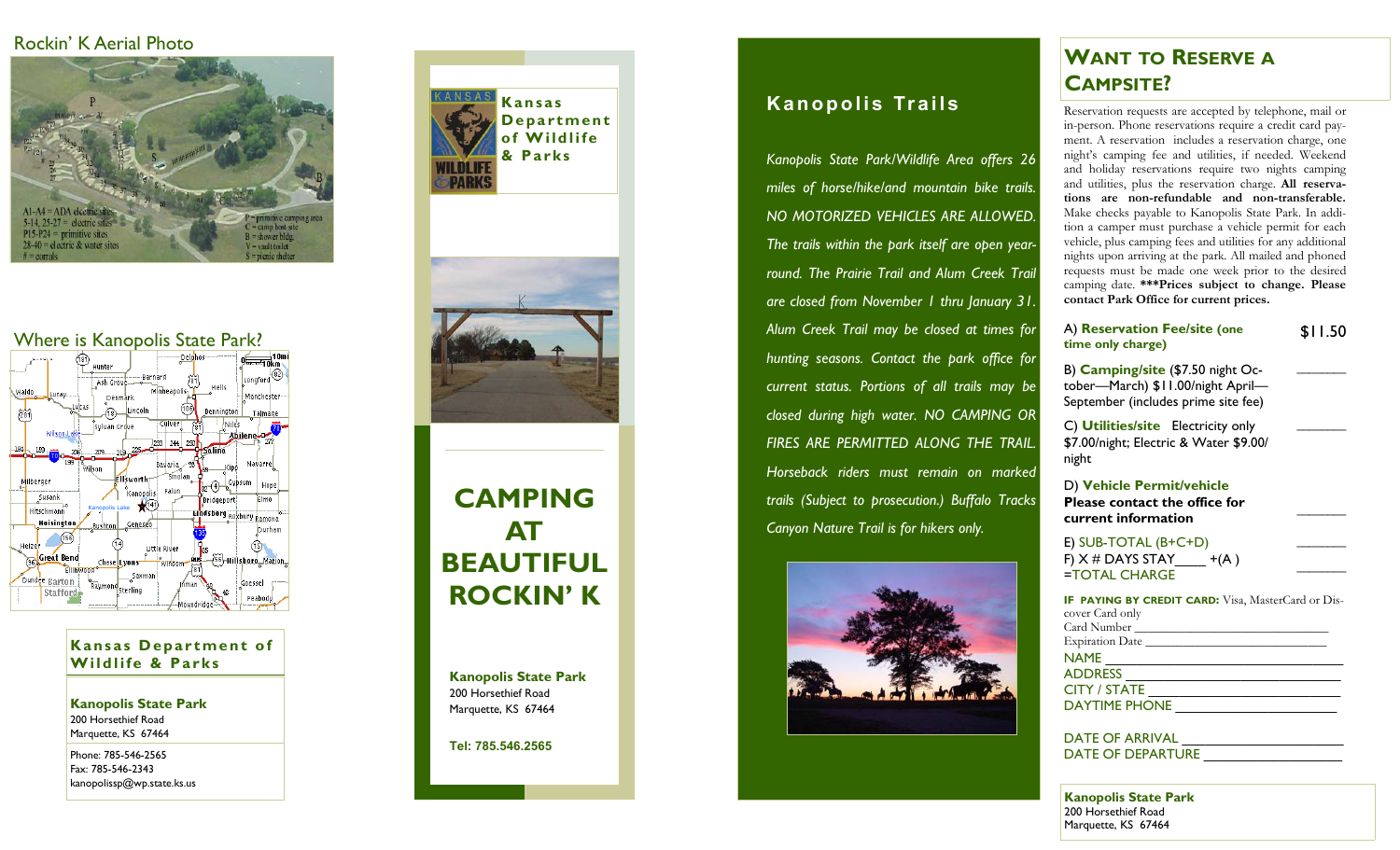## Rockin' K Aerial Photo



## Where is Kanopolis State Park?



**Kansas Department of Wildlife & Parks** 

**Kanopolis State Park**  200 Horsethief Road Marquette, KS 67464

Phone: 785-546-2565 Fax: 785-546-2343 kanopolissp@wp.state.ks.us





# **CAMPING AT BEAUTIFUL ROCKIN' K**

**Kanopolis State Park**  200 Horsethief Road Marquette, KS 67464

**Tel: 785.546.2565** 

## **Kansas Kanopolis Trails**

*Kanopolis State Park/Wildlife Area offers 26 miles of horse/hike/and mountain bike trails. NO MOTORIZED VEHICLES ARE ALLOWED. The trails within the park itself are open yearround. The Prairie Trail and Alum Creek Trail are closed from November 1 thru January 31. Alum Creek Trail may be closed at times for hunting seasons. Contact the park office for current status. Portions of all trails may be closed during high water. NO CAMPING OR FIRES ARE PERMITTED ALONG THE TRAIL. Horseback riders must remain on marked trails (Subject to prosecution.) Buffalo Tracks Canyon Nature Trail is for hikers only.*



## **WANT TO RESERVE ACAMPSITE?**

Reservation requests are accepted by telephone, mail or in-person. Phone reservations require a credit card payment. A reservation includes a reservation charge, one night's camping fee and utilities, if needed. Weekend and holiday reservations require two nights camping and utilities, plus the reservation charge. **All reservations are non-refundable and non-transferable.** Make checks payable to Kanopolis State Park. In addition a camper must purchase a vehicle permit for each vehicle, plus camping fees and utilities for any additional nights upon arriving at the park. All mailed and phoned requests must be made one week prior to the desired camping date. **\*\*\*Prices subject to change. Please contact Park Office for current prices.**

| A) Reservation Fee/site (one<br>time only charge)                                                              | \$11.50 |
|----------------------------------------------------------------------------------------------------------------|---------|
| B) Camping/site (\$7.50 night Oc-<br>tober-March) \$11.00/night April-<br>September (includes prime site fee)  |         |
| C) <b>Utilities/site</b> Electricity only<br>\$7.00/night; Electric & Water \$9.00/<br>night                   |         |
| D) Vehicle Permit/vehicle<br><b>Please contact the office for</b><br>current information                       |         |
| $E)$ SUB-TOTAL (B+C+D)<br>F) $X \#$ DAYS STAY $+(A)$<br>=TOTAL CHARGE                                          |         |
| <b>IF PAYING BY CREDIT CARD:</b> Visa, MasterCard or Dis-<br>cover Card only<br>Expiration Date<br><b>NAME</b> |         |
| <b>ADDDECC</b>                                                                                                 |         |

ADDRESS \_\_\_\_\_\_\_\_\_\_\_\_\_\_\_\_\_\_\_\_\_\_\_\_\_\_\_\_ CITY / STATE \_\_\_\_\_\_\_\_\_\_\_\_\_\_\_\_\_\_\_\_\_\_\_\_\_ DAYTIME PHONE

DATE OF ARRIVAL DATE OF DEPARTURE

**Kanopolis State Park**  200 Horsethief Road Marquette, KS 67464